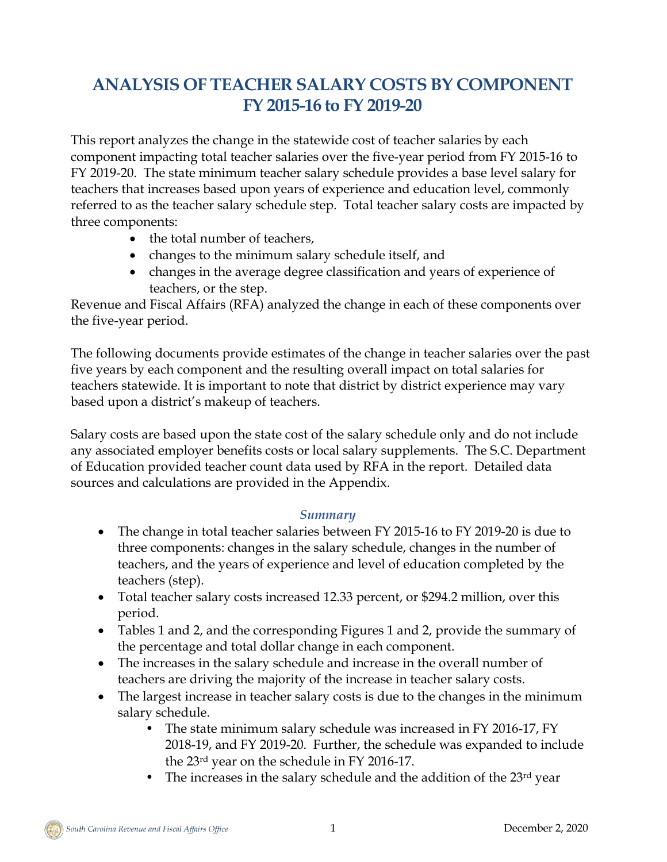# **ANALYSIS OF TEACHER SALARY COSTS BY COMPONENT FY 2015-16 to FY 2019-20**

This report analyzes the change in the statewide cost of teacher salaries by each component impacting total teacher salaries over the five-year period from FY 2015-16 to FY 2019-20. The state minimum teacher salary schedule provides a base level salary for teachers that increases based upon years of experience and education level, commonly referred to as the teacher salary schedule step. Total teacher salary costs are impacted by three components:

- the total number of teachers,
- changes to the minimum salary schedule itself, and
- changes in the average degree classification and years of experience of teachers, or the step.

Revenue and Fiscal Affairs (RFA) analyzed the change in each of these components over the five-year period.

The following documents provide estimates of the change in teacher salaries over the past five years by each component and the resulting overall impact on total salaries for teachers statewide. It is important to note that district by district experience may vary based upon a district's makeup of teachers.

Salary costs are based upon the state cost of the salary schedule only and do not include any associated employer benefits costs or local salary supplements. The S.C. Department of Education provided teacher count data used by RFA in the report. Detailed data sources and calculations are provided in the Appendix.

### *Summary*

- The change in total teacher salaries between FY 2015-16 to FY 2019-20 is due to three components: changes in the salary schedule, changes in the number of teachers, and the years of experience and level of education completed by the teachers (step).
- Total teacher salary costs increased 12.33 percent, or \$294.2 million, over this period.
- Tables 1 and 2, and the corresponding Figures 1 and 2, provide the summary of the percentage and total dollar change in each component.
- The increases in the salary schedule and increase in the overall number of teachers are driving the majority of the increase in teacher salary costs.
- The largest increase in teacher salary costs is due to the changes in the minimum salary schedule.
	- The state minimum salary schedule was increased in FY 2016-17, FY 2018-19, and FY 2019-20. Further, the schedule was expanded to include the 23rd year on the schedule in FY 2016-17.
	- The increases in the salary schedule and the addition of the 23<sup>rd</sup> year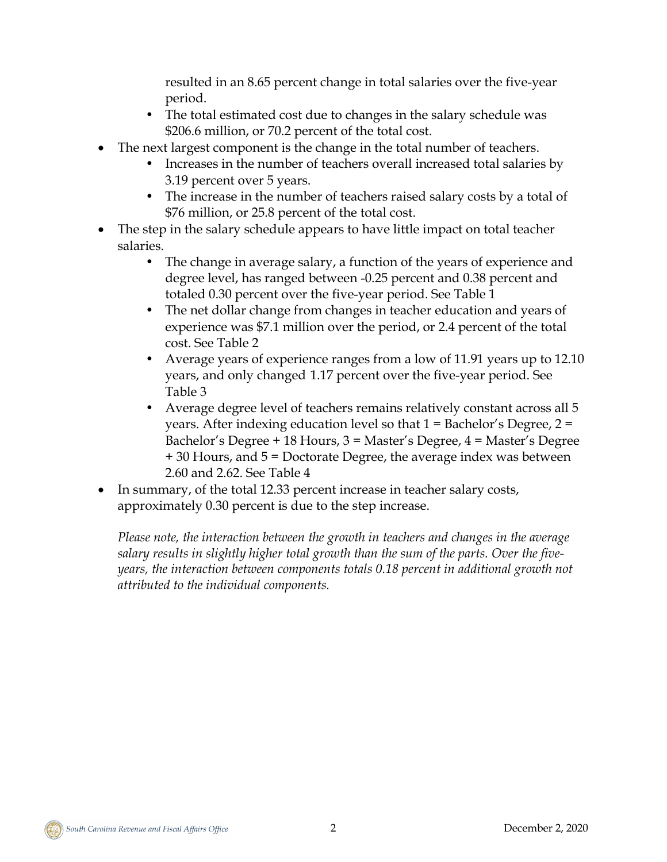resulted in an 8.65 percent change in total salaries over the five-year period.

- The total estimated cost due to changes in the salary schedule was \$206.6 million, or 70.2 percent of the total cost.
- The next largest component is the change in the total number of teachers.
	- Increases in the number of teachers overall increased total salaries by 3.19 percent over 5 years.
	- The increase in the number of teachers raised salary costs by a total of \$76 million, or 25.8 percent of the total cost.
- The step in the salary schedule appears to have little impact on total teacher salaries.
	- The change in average salary, a function of the years of experience and degree level, has ranged between -0.25 percent and 0.38 percent and totaled 0.30 percent over the five-year period. See Table 1
	- The net dollar change from changes in teacher education and years of experience was \$7.1 million over the period, or 2.4 percent of the total cost. See Table 2
	- Average years of experience ranges from a low of 11.91 years up to 12.10 years, and only changed 1.17 percent over the five-year period. See Table 3
	- Average degree level of teachers remains relatively constant across all 5 years. After indexing education level so that 1 = Bachelor's Degree, 2 = Bachelor's Degree + 18 Hours, 3 = Master's Degree, 4 = Master's Degree + 30 Hours, and 5 = Doctorate Degree, the average index was between 2.60 and 2.62. See Table 4
- In summary, of the total 12.33 percent increase in teacher salary costs, approximately 0.30 percent is due to the step increase.

*Please note, the interaction between the growth in teachers and changes in the average salary results in slightly higher total growth than the sum of the parts. Over the fiveyears, the interaction between components totals 0.18 percent in additional growth not attributed to the individual components.*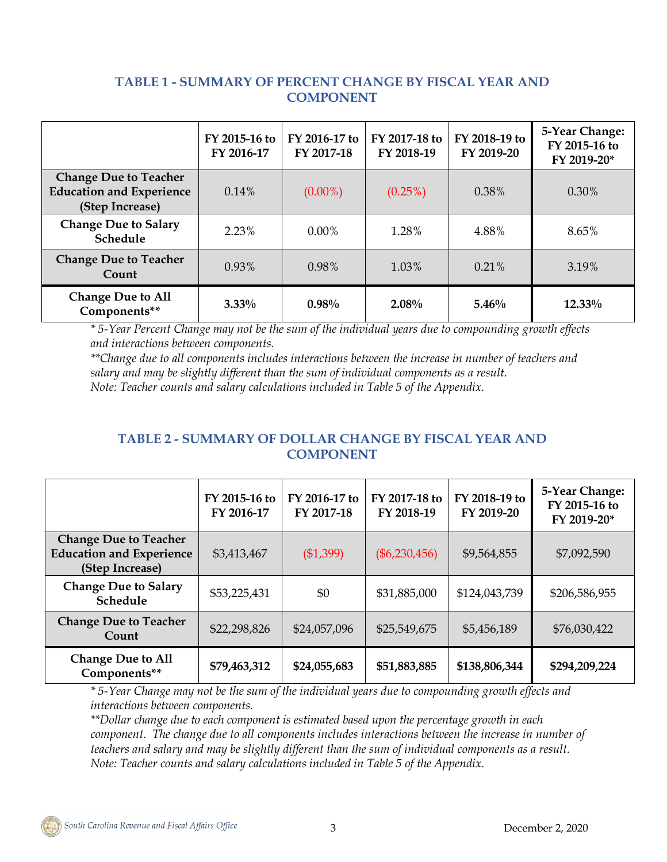### **TABLE 1 - SUMMARY OF PERCENT CHANGE BY FISCAL YEAR AND COMPONENT**

|                                                                                    | FY 2015-16 to<br>FY 2016-17 | FY 2016-17 to<br>FY 2017-18 | FY 2017-18 to<br>FY 2018-19 | FY 2018-19 to<br>FY 2019-20 | 5-Year Change:<br>FY 2015-16 to<br>FY 2019-20* |
|------------------------------------------------------------------------------------|-----------------------------|-----------------------------|-----------------------------|-----------------------------|------------------------------------------------|
| <b>Change Due to Teacher</b><br><b>Education and Experience</b><br>(Step Increase) | $0.14\%$                    | $(0.00\%)$                  | $(0.25\%)$                  | 0.38%                       | 0.30%                                          |
| <b>Change Due to Salary</b><br>Schedule                                            | 2.23%                       | $0.00\%$                    | 1.28%                       | 4.88%                       | 8.65%                                          |
| <b>Change Due to Teacher</b><br>Count                                              | 0.93%                       | 0.98%                       | 1.03%                       | 0.21%                       | 3.19%                                          |
| <b>Change Due to All</b><br>Components**                                           | $3.33\%$                    | 0.98%                       | 2.08%                       | 5.46%                       | 12.33%                                         |

*\* 5-Year Percent Change may not be the sum of the individual years due to compounding growth effects and interactions between components.*

*\*\*Change due to all components includes interactions between the increase in number of teachers and salary and may be slightly different than the sum of individual components as a result. Note: Teacher counts and salary calculations included in Table 5 of the Appendix.*

### **TABLE 2 - SUMMARY OF DOLLAR CHANGE BY FISCAL YEAR AND COMPONENT**

|                                                                                    | FY 2015-16 to<br>FY 2016-17 | FY 2016-17 to<br>FY 2017-18 | FY 2017-18 to<br>FY 2018-19 | FY 2018-19 to<br>FY 2019-20 | 5-Year Change:<br>FY 2015-16 to<br>FY 2019-20* |
|------------------------------------------------------------------------------------|-----------------------------|-----------------------------|-----------------------------|-----------------------------|------------------------------------------------|
| <b>Change Due to Teacher</b><br><b>Education and Experience</b><br>(Step Increase) | \$3,413,467                 | (\$1,399)                   | $(\$6,230,456)$             | \$9,564,855                 | \$7,092,590                                    |
| <b>Change Due to Salary</b><br>Schedule                                            | \$53,225,431                | \$0                         | \$31,885,000                | \$124,043,739               | \$206,586,955                                  |
| <b>Change Due to Teacher</b><br>Count                                              | \$22,298,826                | \$24,057,096                | \$25,549,675                | \$5,456,189                 | \$76,030,422                                   |
| <b>Change Due to All</b><br>Components**                                           | \$79,463,312                | \$24,055,683                | \$51,883,885                | \$138,806,344               | \$294,209,224                                  |

*\* 5-Year Change may not be the sum of the individual years due to compounding growth effects and interactions between components.*

*\*\*Dollar change due to each component is estimated based upon the percentage growth in each component. The change due to all components includes interactions between the increase in number of teachers and salary and may be slightly different than the sum of individual components as a result. Note: Teacher counts and salary calculations included in Table 5 of the Appendix.*

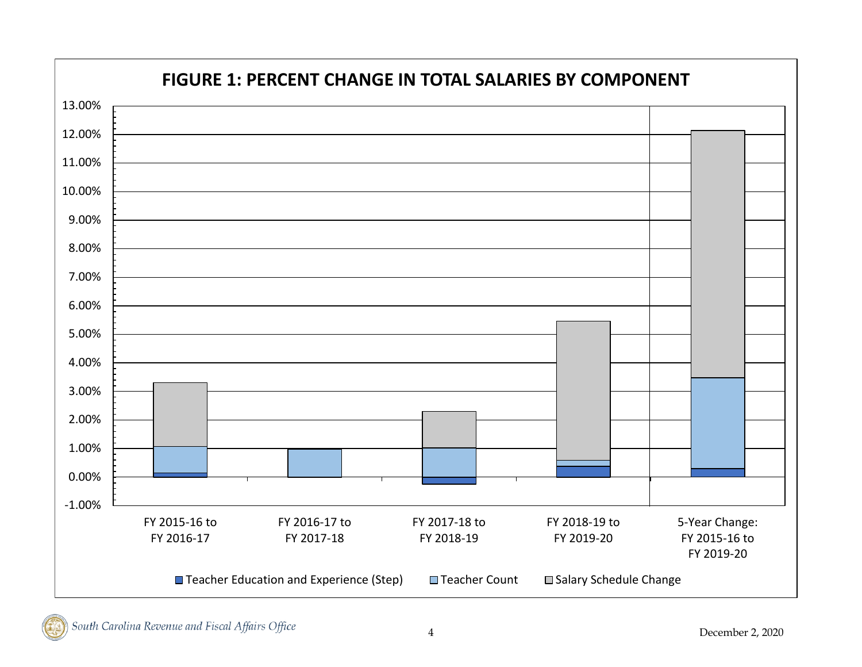

South Carolina Revenue and Fiscal Affairs Office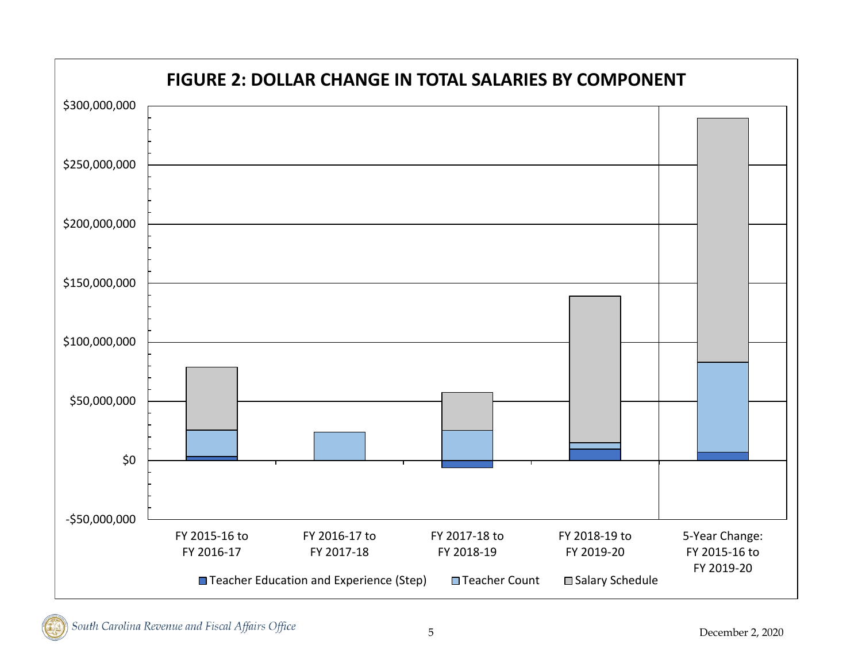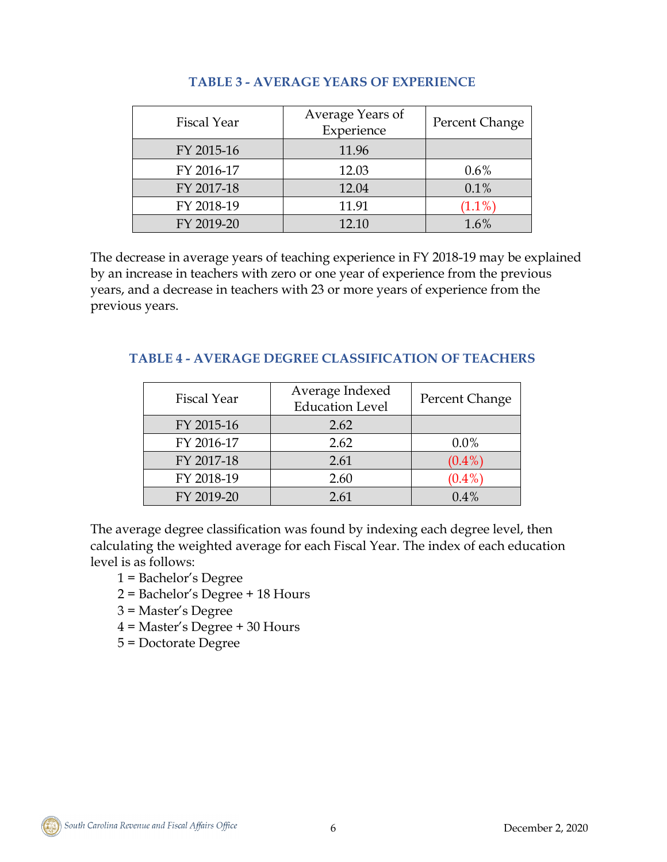| Fiscal Year | Average Years of<br>Experience | Percent Change |
|-------------|--------------------------------|----------------|
| FY 2015-16  | 11.96                          |                |
| FY 2016-17  | 12.03                          | $0.6\%$        |
| FY 2017-18  | 12.04                          | 0.1%           |
| FY 2018-19  | 11.91                          | $(1.1\%)$      |
| FY 2019-20  | 12.10                          | 1.6%           |

### **TABLE 3 - AVERAGE YEARS OF EXPERIENCE**

The decrease in average years of teaching experience in FY 2018-19 may be explained by an increase in teachers with zero or one year of experience from the previous years, and a decrease in teachers with 23 or more years of experience from the previous years.

| Fiscal Year | Average Indexed<br><b>Education Level</b> | Percent Change |
|-------------|-------------------------------------------|----------------|
| FY 2015-16  | 2.62                                      |                |
| FY 2016-17  | 2.62                                      | $0.0\%$        |
| FY 2017-18  | 2.61                                      | $(0.4\%)$      |
| FY 2018-19  | 2.60                                      | $(0.4\%)$      |
| FY 2019-20  | 2.61                                      | $0.4\%$        |

### **TABLE 4 - AVERAGE DEGREE CLASSIFICATION OF TEACHERS**

The average degree classification was found by indexing each degree level, then calculating the weighted average for each Fiscal Year. The index of each education level is as follows:

- 1 = Bachelor's Degree
- 2 = Bachelor's Degree + 18 Hours
- 3 = Master's Degree
- 4 = Master's Degree + 30 Hours
- 5 = Doctorate Degree

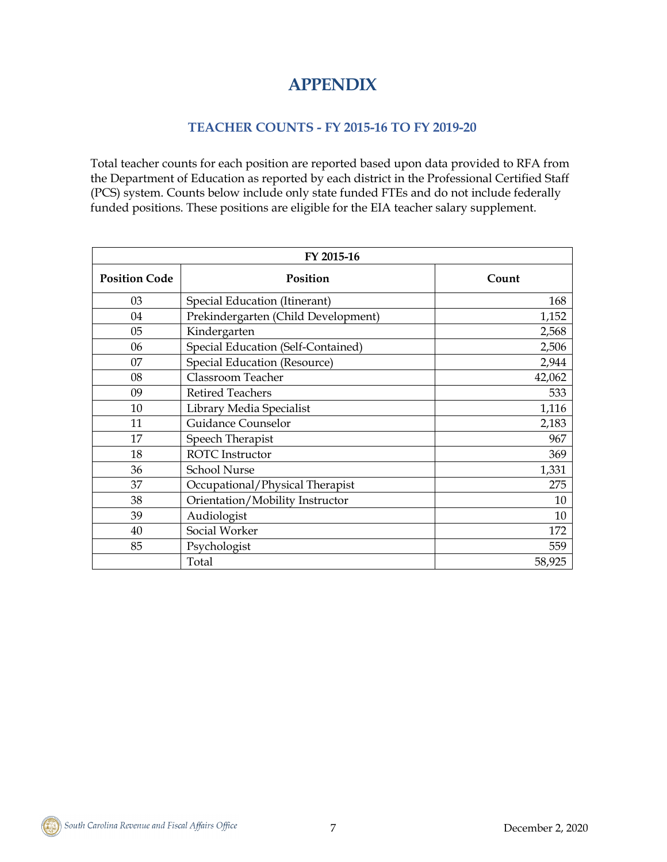# **APPENDIX**

#### **TEACHER COUNTS - FY 2015-16 TO FY 2019-20**

Total teacher counts for each position are reported based upon data provided to RFA from the Department of Education as reported by each district in the Professional Certified Staff (PCS) system. Counts below include only state funded FTEs and do not include federally funded positions. These positions are eligible for the EIA teacher salary supplement.

| FY 2015-16           |                                     |        |  |
|----------------------|-------------------------------------|--------|--|
| <b>Position Code</b> | Position                            | Count  |  |
| 03                   | Special Education (Itinerant)       | 168    |  |
| 04                   | Prekindergarten (Child Development) | 1,152  |  |
| 05                   | Kindergarten                        | 2,568  |  |
| 06                   | Special Education (Self-Contained)  | 2,506  |  |
| 07                   | Special Education (Resource)        | 2,944  |  |
| 08                   | Classroom Teacher                   | 42,062 |  |
| 09                   | <b>Retired Teachers</b>             | 533    |  |
| 10                   | Library Media Specialist            | 1,116  |  |
| 11                   | <b>Guidance Counselor</b>           | 2,183  |  |
| 17                   | Speech Therapist                    | 967    |  |
| 18                   | <b>ROTC</b> Instructor              | 369    |  |
| 36                   | <b>School Nurse</b>                 | 1,331  |  |
| 37                   | Occupational/Physical Therapist     | 275    |  |
| 38                   | Orientation/Mobility Instructor     | 10     |  |
| 39                   | Audiologist                         | 10     |  |
| 40                   | Social Worker                       | 172    |  |
| 85                   | Psychologist                        | 559    |  |
|                      | Total                               | 58,925 |  |

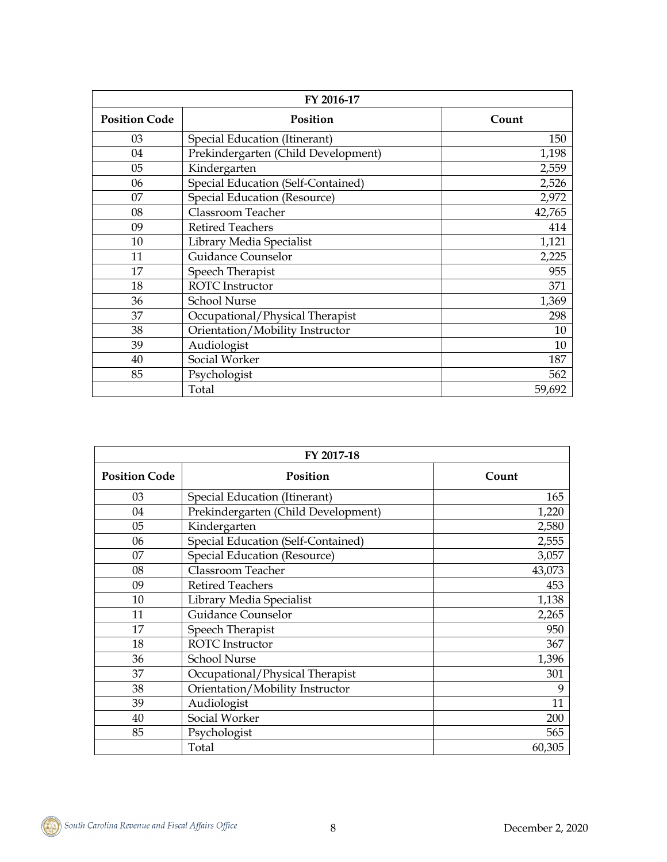| FY 2016-17           |                                     |        |  |  |
|----------------------|-------------------------------------|--------|--|--|
| <b>Position Code</b> | <b>Position</b>                     | Count  |  |  |
| 03                   | Special Education (Itinerant)       | 150    |  |  |
| 04                   | Prekindergarten (Child Development) |        |  |  |
| 05                   | Kindergarten                        | 2,559  |  |  |
| 06                   | Special Education (Self-Contained)  | 2,526  |  |  |
| 07                   | <b>Special Education (Resource)</b> | 2,972  |  |  |
| 08                   | Classroom Teacher                   | 42,765 |  |  |
| 09                   | <b>Retired Teachers</b>             | 414    |  |  |
| 10                   | Library Media Specialist            | 1,121  |  |  |
| 11                   | <b>Guidance Counselor</b>           | 2,225  |  |  |
| 17                   | Speech Therapist                    | 955    |  |  |
| 18                   | <b>ROTC</b> Instructor              | 371    |  |  |
| 36                   | <b>School Nurse</b>                 | 1,369  |  |  |
| 37                   | Occupational/Physical Therapist     | 298    |  |  |
| 38                   | Orientation/Mobility Instructor     | 10     |  |  |
| 39                   | Audiologist                         | 10     |  |  |
| 40                   | Social Worker                       | 187    |  |  |
| 85                   | Psychologist                        | 562    |  |  |
|                      | Total                               | 59,692 |  |  |

| FY 2017-18           |                                     |        |  |  |
|----------------------|-------------------------------------|--------|--|--|
| <b>Position Code</b> | Position                            | Count  |  |  |
| 03                   | Special Education (Itinerant)       | 165    |  |  |
| 04                   | Prekindergarten (Child Development) | 1,220  |  |  |
| 05                   | Kindergarten                        | 2,580  |  |  |
| 06                   | Special Education (Self-Contained)  | 2,555  |  |  |
| 07                   | Special Education (Resource)        | 3,057  |  |  |
| 08                   | Classroom Teacher                   | 43,073 |  |  |
| 09                   | <b>Retired Teachers</b>             | 453    |  |  |
| 10                   | Library Media Specialist            | 1,138  |  |  |
| 11                   | Guidance Counselor                  | 2,265  |  |  |
| 17                   | Speech Therapist                    | 950    |  |  |
| 18                   | <b>ROTC</b> Instructor              | 367    |  |  |
| 36                   | <b>School Nurse</b>                 | 1,396  |  |  |
| 37                   | Occupational/Physical Therapist     | 301    |  |  |
| 38                   | Orientation/Mobility Instructor     | 9      |  |  |
| 39                   | Audiologist                         | 11     |  |  |
| 40                   | Social Worker                       | 200    |  |  |
| 85                   | Psychologist                        | 565    |  |  |
|                      | Total                               | 60,305 |  |  |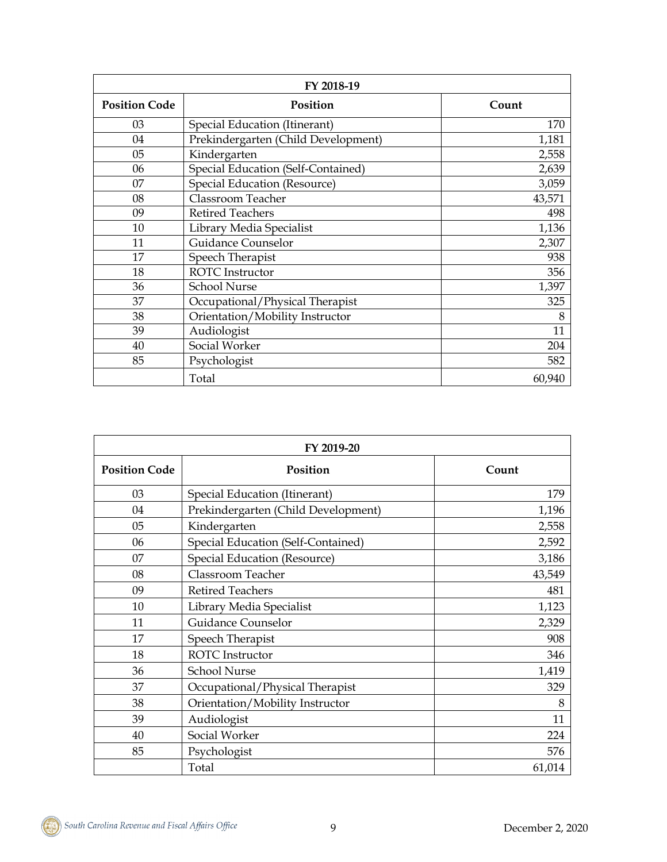| FY 2018-19           |                                     |        |  |  |  |
|----------------------|-------------------------------------|--------|--|--|--|
| <b>Position Code</b> | Position                            |        |  |  |  |
| 03                   | Special Education (Itinerant)       | 170    |  |  |  |
| 04                   | Prekindergarten (Child Development) | 1,181  |  |  |  |
| 05                   | Kindergarten                        | 2,558  |  |  |  |
| 06                   | Special Education (Self-Contained)  | 2,639  |  |  |  |
| 07                   | <b>Special Education (Resource)</b> | 3,059  |  |  |  |
| 08                   | Classroom Teacher                   | 43,571 |  |  |  |
| 09                   | <b>Retired Teachers</b>             | 498    |  |  |  |
| 10                   | Library Media Specialist            | 1,136  |  |  |  |
| 11                   | <b>Guidance Counselor</b>           | 2,307  |  |  |  |
| 17                   | Speech Therapist                    | 938    |  |  |  |
| 18                   | <b>ROTC</b> Instructor              | 356    |  |  |  |
| 36                   | <b>School Nurse</b>                 | 1,397  |  |  |  |
| 37                   | Occupational/Physical Therapist     | 325    |  |  |  |
| 38                   | Orientation/Mobility Instructor     | 8      |  |  |  |
| 39                   | Audiologist                         | 11     |  |  |  |
| 40                   | Social Worker                       | 204    |  |  |  |
| 85                   | Psychologist                        | 582    |  |  |  |
|                      | Total                               | 60,940 |  |  |  |

| FY 2019-20           |                                     |        |  |
|----------------------|-------------------------------------|--------|--|
| <b>Position Code</b> | Position                            | Count  |  |
| 03                   | Special Education (Itinerant)       | 179    |  |
| 04                   | Prekindergarten (Child Development) | 1,196  |  |
| 05                   | Kindergarten                        | 2,558  |  |
| 06                   | Special Education (Self-Contained)  | 2,592  |  |
| 07                   | <b>Special Education (Resource)</b> | 3,186  |  |
| 08                   | Classroom Teacher                   | 43,549 |  |
| 09                   | <b>Retired Teachers</b>             | 481    |  |
| 10                   | Library Media Specialist            | 1,123  |  |
| 11                   | Guidance Counselor                  | 2,329  |  |
| 17                   | Speech Therapist                    | 908    |  |
| 18                   | <b>ROTC</b> Instructor              | 346    |  |
| 36                   | <b>School Nurse</b>                 | 1,419  |  |
| 37                   | Occupational/Physical Therapist     | 329    |  |
| 38                   | Orientation/Mobility Instructor     | 8      |  |
| 39                   | Audiologist                         | 11     |  |
| 40                   | Social Worker                       | 224    |  |
| 85                   | Psychologist                        | 576    |  |
|                      | Total                               | 61,014 |  |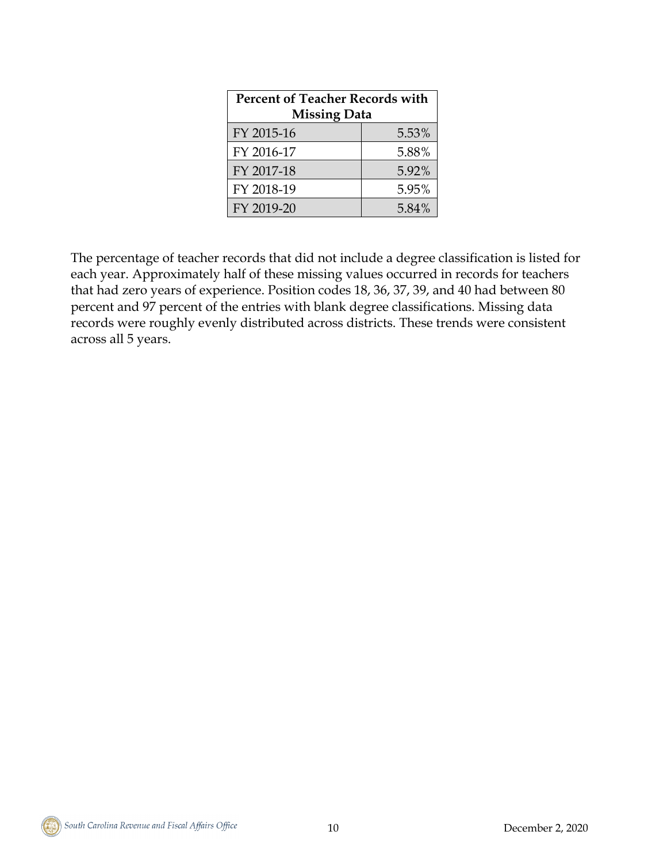| <b>Percent of Teacher Records with</b><br><b>Missing Data</b> |       |  |
|---------------------------------------------------------------|-------|--|
| FY 2015-16                                                    | 5.53% |  |
| FY 2016-17                                                    | 5.88% |  |
| FY 2017-18                                                    | 5.92% |  |
| FY 2018-19                                                    | 5.95% |  |
| FY 2019-20                                                    | 5.84% |  |

The percentage of teacher records that did not include a degree classification is listed for each year. Approximately half of these missing values occurred in records for teachers that had zero years of experience. Position codes 18, 36, 37, 39, and 40 had between 80 percent and 97 percent of the entries with blank degree classifications. Missing data records were roughly evenly distributed across districts. These trends were consistent across all 5 years.

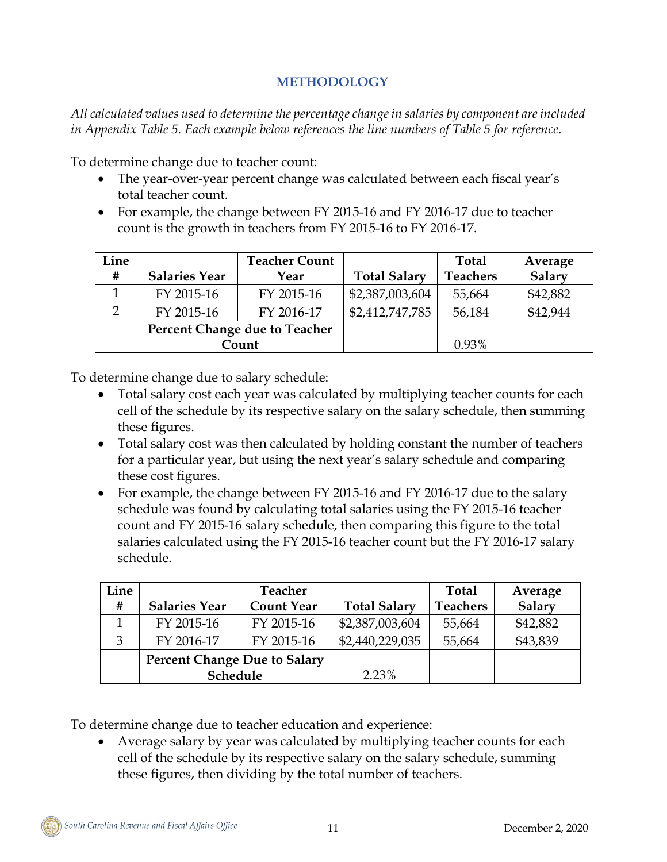### **METHODOLOGY**

*All calculated values used to determine the percentage change in salaries by component are included in Appendix Table 5. Each example below references the line numbers of Table 5 for reference.*

To determine change due to teacher count:

- The year-over-year percent change was calculated between each fiscal year's total teacher count.
- For example, the change between FY 2015-16 and FY 2016-17 due to teacher count is the growth in teachers from FY 2015-16 to FY 2016-17.

| Line          |                      | <b>Teacher Count</b>          |                     | Total           | Average  |
|---------------|----------------------|-------------------------------|---------------------|-----------------|----------|
| #             | <b>Salaries Year</b> | Year                          | <b>Total Salary</b> | <b>Teachers</b> | Salary   |
|               | FY 2015-16           | FY 2015-16                    | \$2,387,003,604     | 55,664          | \$42,882 |
| $\mathcal{D}$ | FY 2015-16           | FY 2016-17                    | \$2,412,747,785     | 56,184          | \$42,944 |
|               |                      | Percent Change due to Teacher |                     |                 |          |
|               |                      | Count                         |                     | 0.93%           |          |

To determine change due to salary schedule:

- Total salary cost each year was calculated by multiplying teacher counts for each cell of the schedule by its respective salary on the salary schedule, then summing these figures.
- Total salary cost was then calculated by holding constant the number of teachers for a particular year, but using the next year's salary schedule and comparing these cost figures.
- For example, the change between FY 2015-16 and FY 2016-17 due to the salary schedule was found by calculating total salaries using the FY 2015-16 teacher count and FY 2015-16 salary schedule, then comparing this figure to the total salaries calculated using the FY 2015-16 teacher count but the FY 2016-17 salary schedule.

| Line |                                     | <b>Teacher</b>    |                     | <b>Total</b>    | Average  |
|------|-------------------------------------|-------------------|---------------------|-----------------|----------|
| #    | <b>Salaries Year</b>                | <b>Count Year</b> | <b>Total Salary</b> | <b>Teachers</b> | Salary   |
|      | FY 2015-16                          | FY 2015-16        | \$2,387,003,604     | 55,664          | \$42,882 |
|      | FY 2016-17                          | FY 2015-16        | \$2,440,229,035     | 55,664          | \$43,839 |
|      | <b>Percent Change Due to Salary</b> |                   |                     |                 |          |
|      | Schedule                            |                   | 2.23%               |                 |          |

To determine change due to teacher education and experience:

• Average salary by year was calculated by multiplying teacher counts for each cell of the schedule by its respective salary on the salary schedule, summing these figures, then dividing by the total number of teachers.

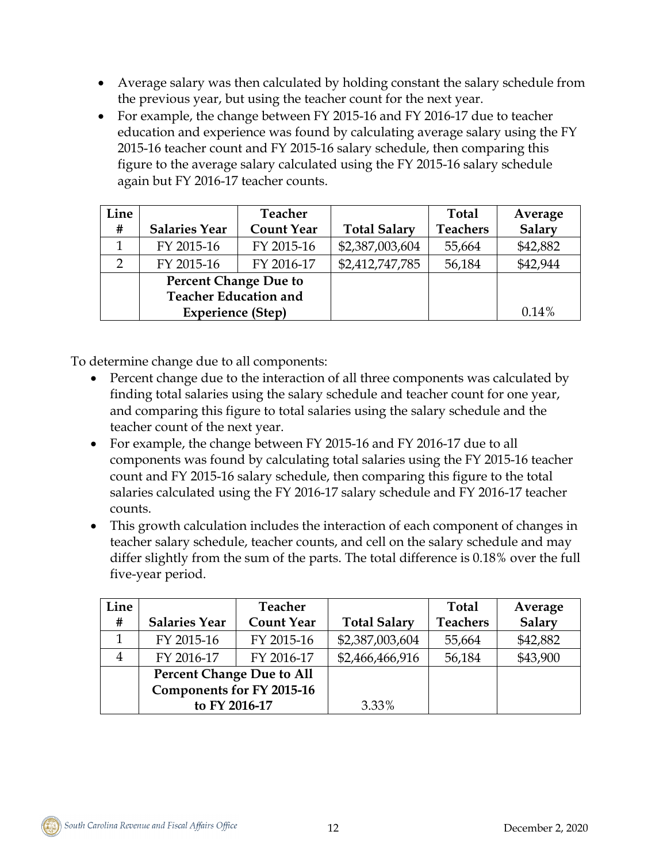- Average salary was then calculated by holding constant the salary schedule from the previous year, but using the teacher count for the next year.
- For example, the change between FY 2015-16 and FY 2016-17 due to teacher education and experience was found by calculating average salary using the FY 2015-16 teacher count and FY 2015-16 salary schedule, then comparing this figure to the average salary calculated using the FY 2015-16 salary schedule again but FY 2016-17 teacher counts.

| Line |                              | <b>Teacher</b>    |                     | Total           | Average  |
|------|------------------------------|-------------------|---------------------|-----------------|----------|
| #    | <b>Salaries Year</b>         | <b>Count Year</b> | <b>Total Salary</b> | <b>Teachers</b> | Salary   |
|      | FY 2015-16                   | FY 2015-16        | \$2,387,003,604     | 55,664          | \$42,882 |
|      | FY 2015-16                   | FY 2016-17        | \$2,412,747,785     | 56,184          | \$42,944 |
|      | <b>Percent Change Due to</b> |                   |                     |                 |          |
|      | <b>Teacher Education and</b> |                   |                     |                 |          |
|      | <b>Experience (Step)</b>     |                   |                     |                 | 0.14%    |

To determine change due to all components:

- Percent change due to the interaction of all three components was calculated by finding total salaries using the salary schedule and teacher count for one year, and comparing this figure to total salaries using the salary schedule and the teacher count of the next year.
- For example, the change between FY 2015-16 and FY 2016-17 due to all components was found by calculating total salaries using the FY 2015-16 teacher count and FY 2015-16 salary schedule, then comparing this figure to the total salaries calculated using the FY 2016-17 salary schedule and FY 2016-17 teacher counts.
- This growth calculation includes the interaction of each component of changes in teacher salary schedule, teacher counts, and cell on the salary schedule and may differ slightly from the sum of the parts. The total difference is 0.18% over the full five-year period.

| Line |                                  | <b>Teacher</b>    |                     | <b>Total</b>    | Average  |
|------|----------------------------------|-------------------|---------------------|-----------------|----------|
| #    | <b>Salaries Year</b>             | <b>Count Year</b> | <b>Total Salary</b> | <b>Teachers</b> | Salary   |
|      | FY 2015-16                       | FY 2015-16        | \$2,387,003,604     | 55,664          | \$42,882 |
| 4    | FY 2016-17                       | FY 2016-17        | \$2,466,466,916     | 56,184          | \$43,900 |
|      | <b>Percent Change Due to All</b> |                   |                     |                 |          |
|      | Components for FY 2015-16        |                   |                     |                 |          |
|      | to FY 2016-17                    |                   | 3.33%               |                 |          |

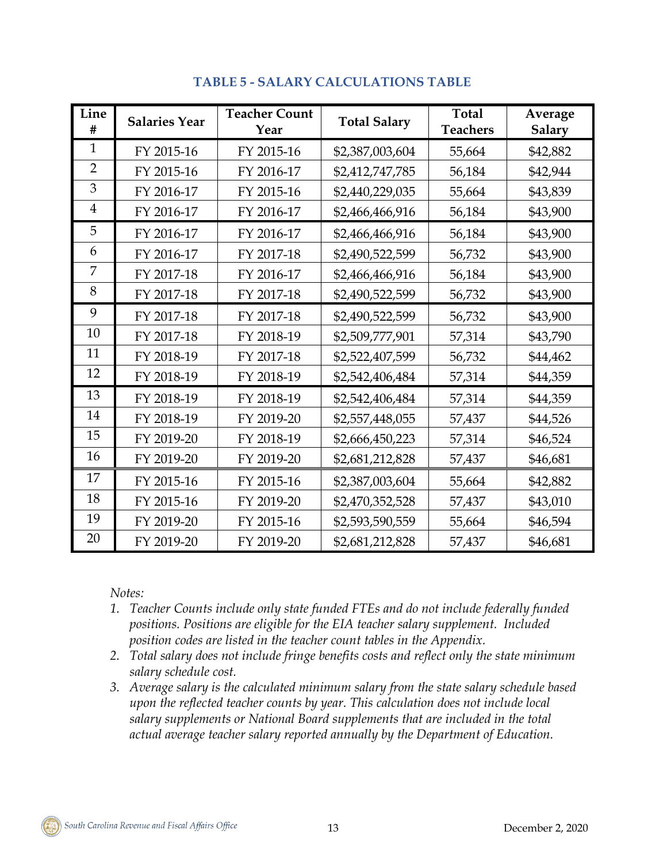| Line<br>#      | <b>Salaries Year</b> | <b>Teacher Count</b><br>Year | <b>Total Salary</b> | <b>Total</b><br><b>Teachers</b> | Average<br><b>Salary</b> |
|----------------|----------------------|------------------------------|---------------------|---------------------------------|--------------------------|
| $\mathbf{1}$   | FY 2015-16           | FY 2015-16                   | \$2,387,003,604     | 55,664                          | \$42,882                 |
| $\overline{2}$ | FY 2015-16           | FY 2016-17                   | \$2,412,747,785     | 56,184                          | \$42,944                 |
| 3              | FY 2016-17           | FY 2015-16                   | \$2,440,229,035     | 55,664                          | \$43,839                 |
| $\overline{4}$ | FY 2016-17           | FY 2016-17                   | \$2,466,466,916     | 56,184                          | \$43,900                 |
| 5              | FY 2016-17           | FY 2016-17                   | \$2,466,466,916     | 56,184                          | \$43,900                 |
| 6              | FY 2016-17           | FY 2017-18                   | \$2,490,522,599     | 56,732                          | \$43,900                 |
| 7              | FY 2017-18           | FY 2016-17                   | \$2,466,466,916     | 56,184                          | \$43,900                 |
| 8              | FY 2017-18           | FY 2017-18                   | \$2,490,522,599     | 56,732                          | \$43,900                 |
| 9              | FY 2017-18           | FY 2017-18                   | \$2,490,522,599     | 56,732                          | \$43,900                 |
| 10             | FY 2017-18           | FY 2018-19                   | \$2,509,777,901     | 57,314                          | \$43,790                 |
| 11             | FY 2018-19           | FY 2017-18                   | \$2,522,407,599     | 56,732                          | \$44,462                 |
| 12             | FY 2018-19           | FY 2018-19                   | \$2,542,406,484     | 57,314                          | \$44,359                 |
| 13             | FY 2018-19           | FY 2018-19                   | \$2,542,406,484     | 57,314                          | \$44,359                 |
| 14             | FY 2018-19           | FY 2019-20                   | \$2,557,448,055     | 57,437                          | \$44,526                 |
| 15             | FY 2019-20           | FY 2018-19                   | \$2,666,450,223     | 57,314                          | \$46,524                 |
| 16             | FY 2019-20           | FY 2019-20                   | \$2,681,212,828     | 57,437                          | \$46,681                 |
| 17             | FY 2015-16           | FY 2015-16                   | \$2,387,003,604     | 55,664                          | \$42,882                 |
| 18             | FY 2015-16           | FY 2019-20                   | \$2,470,352,528     | 57,437                          | \$43,010                 |
| 19             | FY 2019-20           | FY 2015-16                   | \$2,593,590,559     | 55,664                          | \$46,594                 |
| 20             | FY 2019-20           | FY 2019-20                   | \$2,681,212,828     | 57,437                          | \$46,681                 |

## **TABLE 5 - SALARY CALCULATIONS TABLE**

*Notes:* 

- *1. Teacher Counts include only state funded FTEs and do not include federally funded positions. Positions are eligible for the EIA teacher salary supplement. Included position codes are listed in the teacher count tables in the Appendix.*
- *2. Total salary does not include fringe benefits costs and reflect only the state minimum salary schedule cost.*
- *3. Average salary is the calculated minimum salary from the state salary schedule based upon the reflected teacher counts by year. This calculation does not include local salary supplements or National Board supplements that are included in the total actual average teacher salary reported annually by the Department of Education.*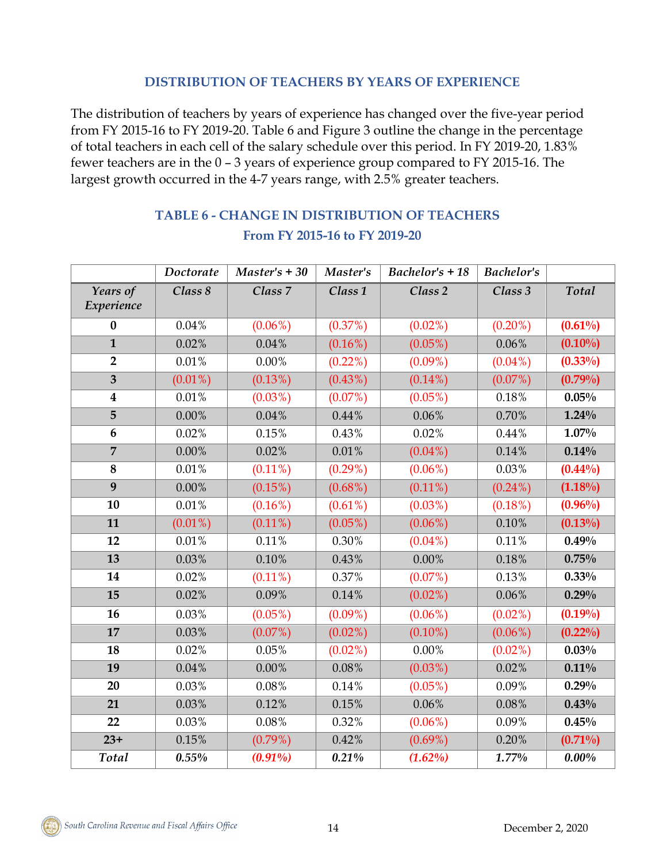### **DISTRIBUTION OF TEACHERS BY YEARS OF EXPERIENCE**

The distribution of teachers by years of experience has changed over the five-year period from FY 2015-16 to FY 2019-20. Table 6 and Figure 3 outline the change in the percentage of total teachers in each cell of the salary schedule over this period. In FY 2019-20, 1.83% fewer teachers are in the 0 – 3 years of experience group compared to FY 2015-16. The largest growth occurred in the 4-7 years range, with 2.5% greater teachers.

|                         | Doctorate  | $Master's + 30$    | Master's           | Bachelor's $+18$   | <b>Bachelor's</b> |            |
|-------------------------|------------|--------------------|--------------------|--------------------|-------------------|------------|
| Years of<br>Experience  | Class 8    | Class <sub>7</sub> | Class <sub>1</sub> | Class <sub>2</sub> | Class 3           | Total      |
| $\boldsymbol{0}$        | 0.04%      | $(0.06\%)$         | (0.37%)            | $(0.02\%)$         | $(0.20\%)$        | $(0.61\%)$ |
| $\mathbf{1}$            | 0.02%      | 0.04%              | $(0.16\%)$         | $(0.05\%)$         | 0.06%             | $(0.10\%)$ |
| $\overline{2}$          | $0.01\%$   | $0.00\%$           | $(0.22\%)$         | $(0.09\%)$         | $(0.04\%)$        | $(0.33\%)$ |
| $\overline{\mathbf{3}}$ | $(0.01\%)$ | $(0.13\%)$         | $(0.43\%)$         | $(0.14\%)$         | $(0.07\%)$        | $(0.79\%)$ |
| $\boldsymbol{4}$        | $0.01\%$   | $(0.03\%)$         | $(0.07\%)$         | $(0.05\%)$         | 0.18%             | 0.05%      |
| 5                       | 0.00%      | 0.04%              | 0.44%              | 0.06%              | 0.70%             | $1.24\%$   |
| $6\phantom{1}$          | 0.02%      | 0.15%              | 0.43%              | 0.02%              | 0.44%             | $1.07\%$   |
| $\overline{7}$          | $0.00\%$   | 0.02%              | 0.01%              | $(0.04\%)$         | 0.14%             | 0.14%      |
| 8                       | $0.01\%$   | $(0.11\%)$         | $(0.29\%)$         | $(0.06\%)$         | 0.03%             | $(0.44\%)$ |
| $\overline{9}$          | $0.00\%$   | $(0.15\%)$         | $(0.68\%)$         | $(0.11\%)$         | $(0.24\%)$        | $(1.18\%)$ |
| 10                      | 0.01%      | $(0.16\%)$         | $(0.61\%)$         | $(0.03\%)$         | $(0.18\%)$        | $(0.96\%)$ |
| 11                      | $(0.01\%)$ | $(0.11\%)$         | $(0.05\%)$         | $(0.06\%)$         | 0.10%             | $(0.13\%)$ |
| 12                      | 0.01%      | 0.11%              | 0.30%              | $(0.04\%)$         | 0.11%             | 0.49%      |
| 13                      | 0.03%      | 0.10%              | 0.43%              | 0.00%              | 0.18%             | 0.75%      |
| 14                      | 0.02%      | $(0.11\%)$         | 0.37%              | $(0.07\%)$         | 0.13%             | 0.33%      |
| 15                      | 0.02%      | 0.09%              | 0.14%              | $(0.02\%)$         | 0.06%             | 0.29%      |
| 16                      | 0.03%      | $(0.05\%)$         | $(0.09\%)$         | $(0.06\%)$         | $(0.02\%)$        | $(0.19\%)$ |
| 17                      | 0.03%      | $(0.07\%)$         | $(0.02\%)$         | $(0.10\%)$         | $(0.06\%)$        | $(0.22\%)$ |
| 18                      | 0.02%      | 0.05%              | $(0.02\%)$         | 0.00%              | $(0.02\%)$        | 0.03%      |
| 19                      | 0.04%      | $0.00\%$           | 0.08%              | $(0.03\%)$         | 0.02%             | 0.11%      |
| 20                      | 0.03%      | $0.08\%$           | 0.14%              | $(0.05\%)$         | 0.09%             | 0.29%      |
| 21                      | 0.03%      | 0.12%              | $0.15\%$           | $0.06\%$           | $0.08\%$          | 0.43%      |
| 22                      | 0.03%      | $0.08\%$           | 0.32%              | $(0.06\%)$         | 0.09%             | 0.45%      |
| $23+$                   | $0.15\%$   | $(0.79\%)$         | 0.42%              | $(0.69\%)$         | 0.20%             | $(0.71\%)$ |
| Total                   | 0.55%      | $(0.91\%)$         | 0.21%              | $(1.62\%)$         | 1.77%             | $0.00\%$   |

# **TABLE 6 - CHANGE IN DISTRIBUTION OF TEACHERS From FY 2015-16 to FY 2019-20**